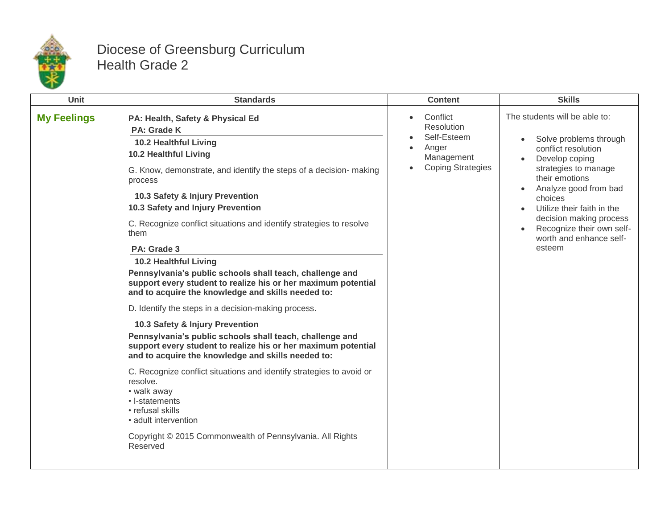

## Diocese of Greensburg Curriculum Health Grade 2

| <b>Unit</b>        | <b>Standards</b>                                                                                                                                                                                                                                                                                                                                                                                                                                                                                                                                                                                                                                                                                                                                                                                                                                                                                                                                                                                                                                                                                   | <b>Content</b>                                                                                               | <b>Skills</b>                                                                                                                                                                                                                                                                                                                       |
|--------------------|----------------------------------------------------------------------------------------------------------------------------------------------------------------------------------------------------------------------------------------------------------------------------------------------------------------------------------------------------------------------------------------------------------------------------------------------------------------------------------------------------------------------------------------------------------------------------------------------------------------------------------------------------------------------------------------------------------------------------------------------------------------------------------------------------------------------------------------------------------------------------------------------------------------------------------------------------------------------------------------------------------------------------------------------------------------------------------------------------|--------------------------------------------------------------------------------------------------------------|-------------------------------------------------------------------------------------------------------------------------------------------------------------------------------------------------------------------------------------------------------------------------------------------------------------------------------------|
| <b>My Feelings</b> | PA: Health, Safety & Physical Ed<br>PA: Grade K<br>10.2 Healthful Living<br>10.2 Healthful Living<br>G. Know, demonstrate, and identify the steps of a decision- making<br>process<br>10.3 Safety & Injury Prevention<br>10.3 Safety and Injury Prevention<br>C. Recognize conflict situations and identify strategies to resolve<br>them<br>PA: Grade 3<br><b>10.2 Healthful Living</b><br>Pennsylvania's public schools shall teach, challenge and<br>support every student to realize his or her maximum potential<br>and to acquire the knowledge and skills needed to:<br>D. Identify the steps in a decision-making process.<br>10.3 Safety & Injury Prevention<br>Pennsylvania's public schools shall teach, challenge and<br>support every student to realize his or her maximum potential<br>and to acquire the knowledge and skills needed to:<br>C. Recognize conflict situations and identify strategies to avoid or<br>resolve.<br>• walk away<br>• I-statements<br>• refusal skills<br>• adult intervention<br>Copyright © 2015 Commonwealth of Pennsylvania. All Rights<br>Reserved | Conflict<br>$\bullet$<br><b>Resolution</b><br>Self-Esteem<br>Anger<br>Management<br><b>Coping Strategies</b> | The students will be able to:<br>Solve problems through<br>$\bullet$<br>conflict resolution<br>Develop coping<br>strategies to manage<br>their emotions<br>Analyze good from bad<br>$\bullet$<br>choices<br>Utilize their faith in the<br>decision making process<br>Recognize their own self-<br>worth and enhance self-<br>esteem |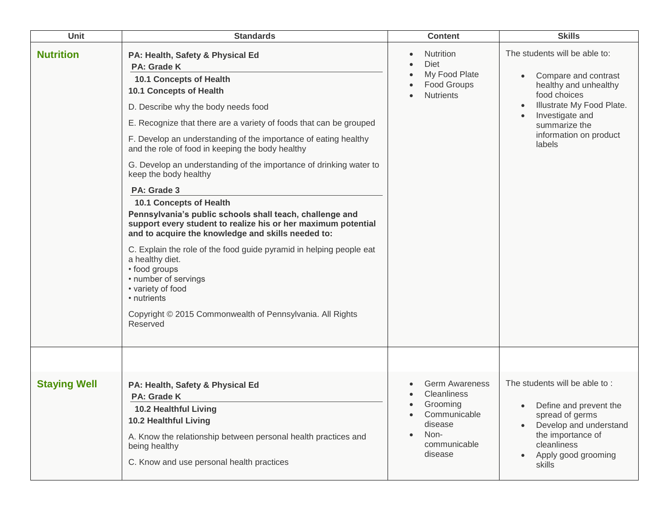| <b>Unit</b>         | <b>Standards</b>                                                                                                                                                                                                                                                                                                                                                                                                                                                                                                                                                                                                                                                                                                                                                                                                                                                                                                             | <b>Content</b>                                                                                                        | <b>Skills</b>                                                                                                                                                                                                                              |
|---------------------|------------------------------------------------------------------------------------------------------------------------------------------------------------------------------------------------------------------------------------------------------------------------------------------------------------------------------------------------------------------------------------------------------------------------------------------------------------------------------------------------------------------------------------------------------------------------------------------------------------------------------------------------------------------------------------------------------------------------------------------------------------------------------------------------------------------------------------------------------------------------------------------------------------------------------|-----------------------------------------------------------------------------------------------------------------------|--------------------------------------------------------------------------------------------------------------------------------------------------------------------------------------------------------------------------------------------|
| <b>Nutrition</b>    | PA: Health, Safety & Physical Ed<br>PA: Grade K<br>10.1 Concepts of Health<br>10.1 Concepts of Health<br>D. Describe why the body needs food<br>E. Recognize that there are a variety of foods that can be grouped<br>F. Develop an understanding of the importance of eating healthy<br>and the role of food in keeping the body healthy<br>G. Develop an understanding of the importance of drinking water to<br>keep the body healthy<br>PA: Grade 3<br><b>10.1 Concepts of Health</b><br>Pennsylvania's public schools shall teach, challenge and<br>support every student to realize his or her maximum potential<br>and to acquire the knowledge and skills needed to:<br>C. Explain the role of the food guide pyramid in helping people eat<br>a healthy diet.<br>• food groups<br>• number of servings<br>• variety of food<br>• nutrients<br>Copyright © 2015 Commonwealth of Pennsylvania. All Rights<br>Reserved | <b>Nutrition</b><br>Diet<br>My Food Plate<br>Food Groups<br><b>Nutrients</b>                                          | The students will be able to:<br>Compare and contrast<br>$\bullet$<br>healthy and unhealthy<br>food choices<br>Illustrate My Food Plate.<br>$\bullet$<br>Investigate and<br>$\bullet$<br>summarize the<br>information on product<br>labels |
|                     |                                                                                                                                                                                                                                                                                                                                                                                                                                                                                                                                                                                                                                                                                                                                                                                                                                                                                                                              |                                                                                                                       |                                                                                                                                                                                                                                            |
| <b>Staying Well</b> | PA: Health, Safety & Physical Ed<br><b>PA: Grade K</b><br>10.2 Healthful Living<br><b>10.2 Healthful Living</b><br>A. Know the relationship between personal health practices and<br>being healthy<br>C. Know and use personal health practices                                                                                                                                                                                                                                                                                                                                                                                                                                                                                                                                                                                                                                                                              | <b>Germ Awareness</b><br><b>Cleanliness</b><br>Grooming<br>Communicable<br>disease<br>Non-<br>communicable<br>disease | The students will be able to:<br>Define and prevent the<br>$\bullet$<br>spread of germs<br>Develop and understand<br>$\bullet$<br>the importance of<br>cleanliness<br>Apply good grooming<br>$\bullet$<br>skills                           |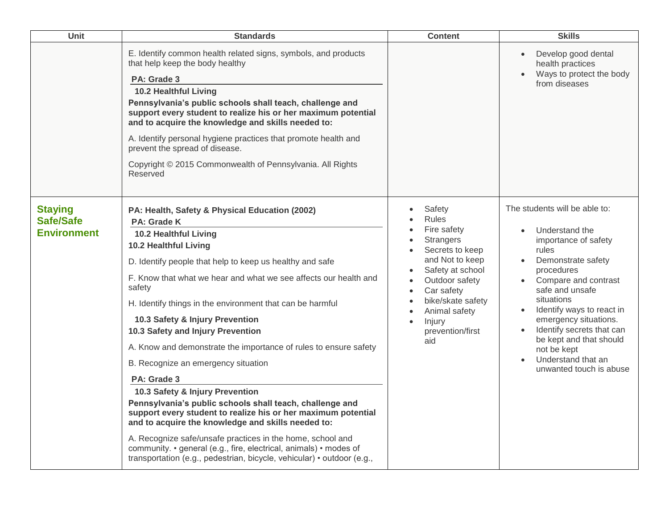| Unit                                                     | <b>Standards</b>                                                                                                                                                                                                                                                                                                                                                                                                                                                                                                                                                                                                                                                                                                                                                                                                                                                                                                                                            | <b>Content</b>                                                                                                                                                                                                                                                        | <b>Skills</b>                                                                                                                                                                                                                                                                                                                                                                         |
|----------------------------------------------------------|-------------------------------------------------------------------------------------------------------------------------------------------------------------------------------------------------------------------------------------------------------------------------------------------------------------------------------------------------------------------------------------------------------------------------------------------------------------------------------------------------------------------------------------------------------------------------------------------------------------------------------------------------------------------------------------------------------------------------------------------------------------------------------------------------------------------------------------------------------------------------------------------------------------------------------------------------------------|-----------------------------------------------------------------------------------------------------------------------------------------------------------------------------------------------------------------------------------------------------------------------|---------------------------------------------------------------------------------------------------------------------------------------------------------------------------------------------------------------------------------------------------------------------------------------------------------------------------------------------------------------------------------------|
|                                                          | E. Identify common health related signs, symbols, and products<br>that help keep the body healthy<br>PA: Grade 3<br>10.2 Healthful Living<br>Pennsylvania's public schools shall teach, challenge and<br>support every student to realize his or her maximum potential<br>and to acquire the knowledge and skills needed to:<br>A. Identify personal hygiene practices that promote health and<br>prevent the spread of disease.<br>Copyright © 2015 Commonwealth of Pennsylvania. All Rights<br>Reserved                                                                                                                                                                                                                                                                                                                                                                                                                                                   |                                                                                                                                                                                                                                                                       | Develop good dental<br>$\bullet$<br>health practices<br>Ways to protect the body<br>from diseases                                                                                                                                                                                                                                                                                     |
| <b>Staying</b><br><b>Safe/Safe</b><br><b>Environment</b> | PA: Health, Safety & Physical Education (2002)<br>PA: Grade K<br>10.2 Healthful Living<br>10.2 Healthful Living<br>D. Identify people that help to keep us healthy and safe<br>F. Know that what we hear and what we see affects our health and<br>safety<br>H. Identify things in the environment that can be harmful<br>10.3 Safety & Injury Prevention<br>10.3 Safety and Injury Prevention<br>A. Know and demonstrate the importance of rules to ensure safety<br>B. Recognize an emergency situation<br>PA: Grade 3<br>10.3 Safety & Injury Prevention<br>Pennsylvania's public schools shall teach, challenge and<br>support every student to realize his or her maximum potential<br>and to acquire the knowledge and skills needed to:<br>A. Recognize safe/unsafe practices in the home, school and<br>community. • general (e.g., fire, electrical, animals) • modes of<br>transportation (e.g., pedestrian, bicycle, vehicular) • outdoor (e.g., | Safety<br><b>Rules</b><br>Fire safety<br><b>Strangers</b><br>Secrets to keep<br>and Not to keep<br>Safety at school<br>Outdoor safety<br>$\bullet$<br>Car safety<br>$\bullet$<br>bike/skate safety<br>Animal safety<br>Injury<br>$\bullet$<br>prevention/first<br>aid | The students will be able to:<br>Understand the<br>importance of safety<br>rules<br>Demonstrate safety<br>$\bullet$<br>procedures<br>Compare and contrast<br>safe and unsafe<br>situations<br>Identify ways to react in<br>$\bullet$<br>emergency situations.<br>Identify secrets that can<br>be kept and that should<br>not be kept<br>Understand that an<br>unwanted touch is abuse |